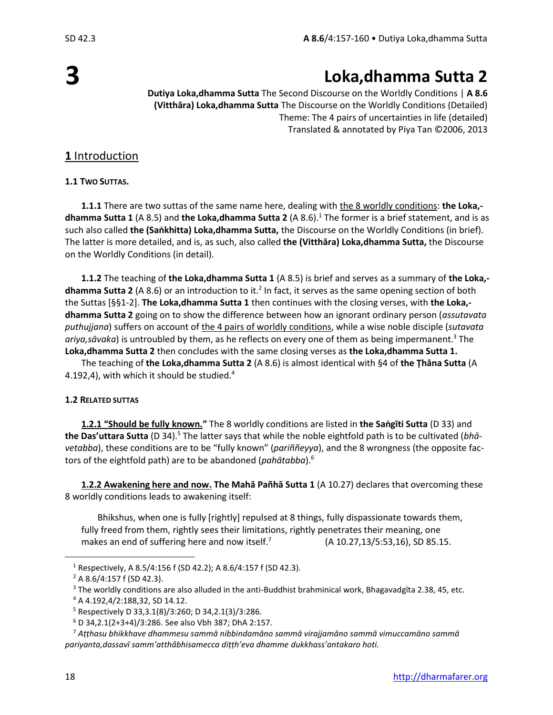# **3**

# **Loka,dhamma Sutta 2**

**Dutiya Loka,dhamma Sutta** The Second Discourse on the Worldly Conditions | **A 8.6 (Vitthāra) Loka,dhamma Sutta** The Discourse on the Worldly Conditions (Detailed) Theme: The 4 pairs of uncertainties in life (detailed) Translated & annotated by Piya Tan ©2006, 2013

# **1** Introduction

**1.1 TWO SUTTAS.**

**1.1.1** There are two suttas of the same name here, dealing with the 8 worldly conditions: **the Loka, dhamma Sutta 1** (A 8.5) and **the Loka,dhamma Sutta 2** (A 8.6).<sup>1</sup> The former is a brief statement, and is as such also called **the (Saṅkhitta) Loka,dhamma Sutta,** the Discourse on the Worldly Conditions (in brief). The latter is more detailed, and is, as such, also called **the (Vitthāra) Loka,dhamma Sutta,** the Discourse on the Worldly Conditions (in detail).

**1.1.2** The teaching of **the Loka,dhamma Sutta 1** (A 8.5) is brief and serves as a summary of **the Loka,** dhamma Sutta 2 (A 8.6) or an introduction to it.<sup>2</sup> In fact, it serves as the same opening section of both the Suttas [§§1-2]. **The Loka,dhamma Sutta 1** then continues with the closing verses, with **the Loka, dhamma Sutta 2** going on to show the difference between how an ignorant ordinary person (*assutavata puthujjana*) suffers on account of the 4 pairs of worldly conditions, while a wise noble disciple (*sutavata ariya,sāvaka*) is untroubled by them, as he reflects on every one of them as being impermanent.<sup>3</sup> The **Loka,dhamma Sutta 2** then concludes with the same closing verses as **the Loka,dhamma Sutta 1.**

The teaching of **the Loka,dhamma Sutta 2** (A 8.6) is almost identical with §4 of **the Ṭhāna Sutta** (A 4.192,4), with which it should be studied. $4$ 

### **1.2 RELATED SUTTAS**

**1.2.1 "Should be fully known."** The 8 worldly conditions are listed in **the Saṅgīti Sutta** (D 33) and the Das'uttara Sutta (D 34).<sup>5</sup> The latter says that while the noble eightfold path is to be cultivated (bhā*vetabba*), these conditions are to be "fully known" (*pariññeyya*), and the 8 wrongness (the opposite factors of the eightfold path) are to be abandoned (*pahātabba*). 6

**1.2.2 Awakening here and now. The Mahā Pañhā Sutta 1** (A 10.27) declares that overcoming these 8 worldly conditions leads to awakening itself:

Bhikshus, when one is fully [rightly] repulsed at 8 things, fully dispassionate towards them, fully freed from them, rightly sees their limitations, rightly penetrates their meaning, one makes an end of suffering here and now itself.<sup>7</sup> (A 10.27,13/5:53,16), SD 85.15.

<sup>&</sup>lt;sup>1</sup> Respectively, A 8.5/4:156 f (SD 42.2); A 8.6/4:157 f (SD 42.3).

<sup>2</sup> A 8.6/4:157 f (SD 42.3).

<sup>&</sup>lt;sup>3</sup> The worldly conditions are also alluded in the anti-Buddhist brahminical work, Bhagavadgīta 2.38, 45, etc.

<sup>4</sup> A 4.192,4/2:188,32, SD 14.12.

 $5$  Respectively D 33, 3.1(8)/3:260; D 34, 2.1(3)/3:286.

 $6$  D 34,2.1(2+3+4)/3:286. See also Vbh 387; DhA 2:157.

<sup>7</sup> *Aṭṭhasu bhikkhave dhammesu sammā nibbindamāno sammā virajjamāno sammā vimuccamāno sammā pariyanta,dassavī samm'atthâbhisamecca diṭṭh'eva dhamme dukkhass'antakaro hoti.*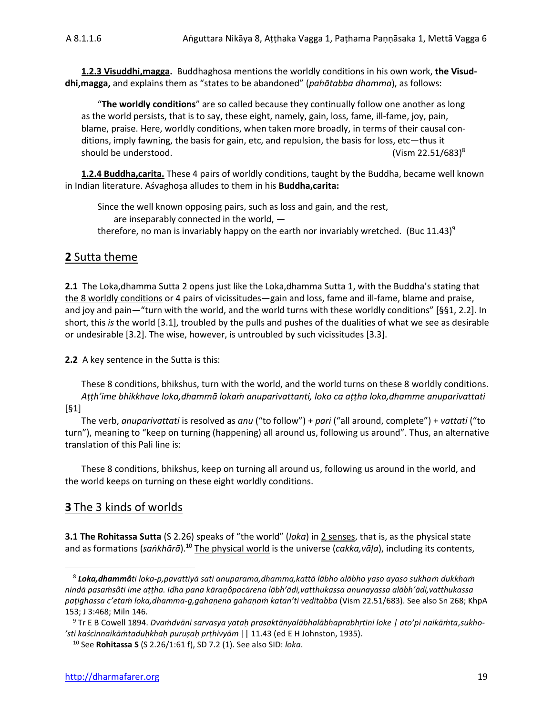**1.2.3 Visuddhi,magga.** Buddhaghosa mentions the worldly conditions in his own work, **the Visuddhi,magga,** and explains them as "states to be abandoned" (*pahātabba dhamma*), as follows:

"**The worldly conditions**" are so called because they continually follow one another as long as the world persists, that is to say, these eight, namely, gain, loss, fame, ill-fame, joy, pain, blame, praise. Here, worldly conditions, when taken more broadly, in terms of their causal conditions, imply fawning, the basis for gain, etc, and repulsion, the basis for loss, etc—thus it should be understood. The same state of the state of the state of the state of the state of the state of the state of the state of the state of the state of the state of the state of the state of the state of the state of

**1.2.4 Buddha,carita.** These 4 pairs of worldly conditions, taught by the Buddha, became well known in Indian literature. Aśvaghoṣa alludes to them in his **Buddha,carita:**

Since the well known opposing pairs, such as loss and gain, and the rest, are inseparably connected in the world, therefore, no man is invariably happy on the earth nor invariably wretched. (Buc  $11.43$ )<sup>9</sup>

### **2** Sutta theme

**2.1** The Loka,dhamma Sutta 2 opens just like the Loka,dhamma Sutta 1, with the Buddha's stating that the 8 worldly conditions or 4 pairs of vicissitudes—gain and loss, fame and ill-fame, blame and praise, and joy and pain—"turn with the world, and the world turns with these worldly conditions" [§§1, 2.2]. In short, this *is* the world [3.1], troubled by the pulls and pushes of the dualities of what we see as desirable or undesirable [3.2]. The wise, however, is untroubled by such vicissitudes [3.3].

**2.2** A key sentence in the Sutta is this:

These 8 conditions, bhikshus, turn with the world, and the world turns on these 8 worldly conditions. *Aṭṭh'ime bhikkhave loka,dhammā lokaṁ anuparivattanti, loko ca aṭṭha loka,dhamme anuparivattati* [§1]

The verb, *anuparivattati* is resolved as *anu* ("to follow") + *pari* ("all around, complete") + *vattati* ("to turn"), meaning to "keep on turning (happening) all around us, following us around". Thus, an alternative translation of this Pali line is:

These 8 conditions, bhikshus, keep on turning all around us, following us around in the world, and the world keeps on turning on these eight worldly conditions.

### **3** The 3 kinds of worlds

**3.1 The Rohitassa Sutta** (S 2.26) speaks of "the world" (*loka*) in 2 senses, that is, as the physical state and as formations (*saṅkhārā*). <sup>10</sup> The physical world is the universe (*cakka,vāḷa*), including its contents,

<sup>8</sup> *Loka,dhammâti loka-p,pavattiyā sati anuparama,dhamma,kattā lābho alābho yaso ayaso sukhaṁ dukkhaṁ nindā pasaṁsâti ime aṭṭha. Idha pana kāraṇôpacārena lābh'ādi,vatthukassa anunayassa alābh'ādi,vatthukassa paṭighassa c'etaṁ loka,dhamma-g,gahaṇena gahaṇaṁ katan'ti veditabba* (Vism 22.51/683). See also Sn 268; KhpA 153; J 3:468; Miln 146.

<sup>9</sup> Tr E B Cowell 1894. *Dvaṁdvāni sarvasya yataḥ prasaktānyalābhalābhaprabhṛtīni loke | ato'pi naikāṁta,sukho- 'sti kaścinnaikāṁtaduḥkhaḥ puruṣaḥ prṭhivyām* || 11.43 (ed E H Johnston, 1935).

<sup>10</sup> See **Rohitassa S** (S 2.26/1:61 f), SD 7.2 (1). See also SID: *loka*.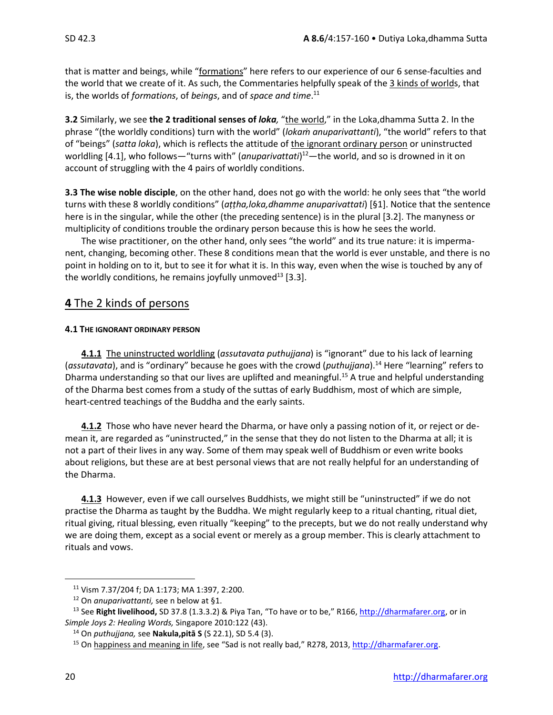that is matter and beings, while "formations" here refers to our experience of our 6 sense-faculties and the world that we create of it. As such, the Commentaries helpfully speak of the 3 kinds of worlds, that is, the worlds of *formations*, of *beings*, and of *space and time*. 11

**3.2** Similarly, we see **the 2 traditional senses of** *loka,* "the world," in the Loka,dhamma Sutta 2. In the phrase "(the worldly conditions) turn with the world" (*lokaṁ anuparivattanti*), "the world" refers to that of "beings" (*satta loka*), which is reflects the attitude of the ignorant ordinary person or uninstructed worldling [4.1], who follows—"turns with" (*anuparivattati*)<sup>12</sup>—the world, and so is drowned in it on account of struggling with the 4 pairs of worldly conditions.

**3.3 The wise noble disciple**, on the other hand, does not go with the world: he only sees that "the world turns with these 8 worldly conditions" (*aṭṭha,loka,dhamme anuparivattati*) [§1]. Notice that the sentence here is in the singular, while the other (the preceding sentence) is in the plural [3.2]. The manyness or multiplicity of conditions trouble the ordinary person because this is how he sees the world.

The wise practitioner, on the other hand, only sees "the world" and its true nature: it is impermanent, changing, becoming other. These 8 conditions mean that the world is ever unstable, and there is no point in holding on to it, but to see it for what it is. In this way, even when the wise is touched by any of the worldly conditions, he remains joyfully unmoved<sup>13</sup> [3.3].

# **4** The 2 kinds of persons

### **4.1 THE IGNORANT ORDINARY PERSON**

**4.1.1** The uninstructed worldling (*assutavata puthujjana*) is "ignorant" due to his lack of learning (*assutavata*), and is "ordinary" because he goes with the crowd (*puthujjana*). <sup>14</sup> Here "learning" refers to Dharma understanding so that our lives are uplifted and meaningful.<sup>15</sup> A true and helpful understanding of the Dharma best comes from a study of the suttas of early Buddhism, most of which are simple, heart-centred teachings of the Buddha and the early saints.

**4.1.2** Those who have never heard the Dharma, or have only a passing notion of it, or reject or demean it, are regarded as "uninstructed," in the sense that they do not listen to the Dharma at all; it is not a part of their lives in any way. Some of them may speak well of Buddhism or even write books about religions, but these are at best personal views that are not really helpful for an understanding of the Dharma.

**4.1.3** However, even if we call ourselves Buddhists, we might still be "uninstructed" if we do not practise the Dharma as taught by the Buddha. We might regularly keep to a ritual chanting, ritual diet, ritual giving, ritual blessing, even ritually "keeping" to the precepts, but we do not really understand why we are doing them, except as a social event or merely as a group member. This is clearly attachment to rituals and vows.

<sup>11</sup> Vism 7.37/204 f; DA 1:173; MA 1:397, 2:200.

<sup>12</sup> On *anuparivattanti,* see n below at §1.

<sup>13</sup> See **Right livelihood,** SD 37.8 (1.3.3.2) & Piya Tan, "To have or to be," R166, [http://dharmafarer.org,](http://dharmafarer.org/) or in *Simple Joys 2: Healing Words,* Singapore 2010:122 (43).

<sup>14</sup> On *puthujjana,* see **Nakula,pitā S** (S 22.1), SD 5.4 (3).

<sup>&</sup>lt;sup>15</sup> On happiness and meaning in life, see "Sad is not really bad," R278, 2013, http://dharmafarer.org.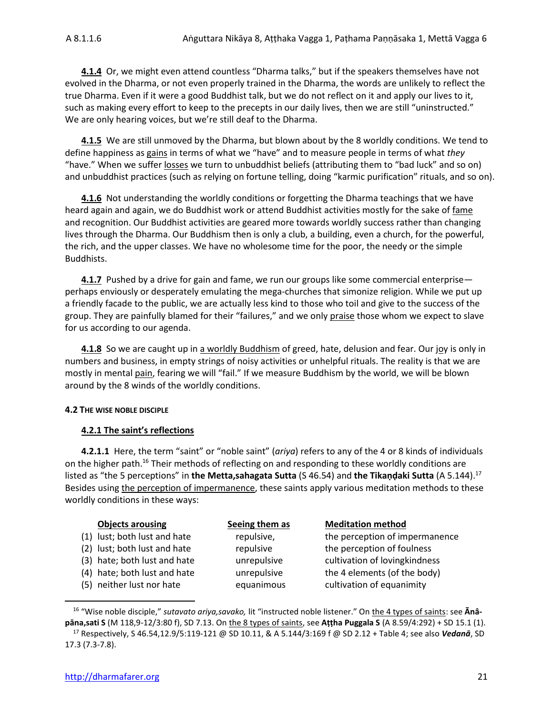**4.1.4** Or, we might even attend countless "Dharma talks," but if the speakers themselves have not evolved in the Dharma, or not even properly trained in the Dharma, the words are unlikely to reflect the true Dharma. Even if it were a good Buddhist talk, but we do not reflect on it and apply our lives to it, such as making every effort to keep to the precepts in our daily lives, then we are still "uninstructed." We are only hearing voices, but we're still deaf to the Dharma.

**4.1.5** We are still unmoved by the Dharma, but blown about by the 8 worldly conditions. We tend to define happiness as gains in terms of what we "have" and to measure people in terms of what *they* "have." When we suffer losses we turn to unbuddhist beliefs (attributing them to "bad luck" and so on) and unbuddhist practices (such as relying on fortune telling, doing "karmic purification" rituals, and so on).

**4.1.6** Not understanding the worldly conditions or forgetting the Dharma teachings that we have heard again and again, we do Buddhist work or attend Buddhist activities mostly for the sake of fame and recognition. Our Buddhist activities are geared more towards worldly success rather than changing lives through the Dharma. Our Buddhism then is only a club, a building, even a church, for the powerful, the rich, and the upper classes. We have no wholesome time for the poor, the needy or the simple Buddhists.

**4.1.7** Pushed by a drive for gain and fame, we run our groups like some commercial enterprise perhaps enviously or desperately emulating the mega-churches that simonize religion. While we put up a friendly facade to the public, we are actually less kind to those who toil and give to the success of the group. They are painfully blamed for their "failures," and we only praise those whom we expect to slave for us according to our agenda.

**4.1.8** So we are caught up in a worldly Buddhism of greed, hate, delusion and fear. Our joy is only in numbers and business, in empty strings of noisy activities or unhelpful rituals. The reality is that we are mostly in mental pain, fearing we will "fail." If we measure Buddhism by the world, we will be blown around by the 8 winds of the worldly conditions.

#### **4.2 THE WISE NOBLE DISCIPLE**

#### **4.2.1 The saint's reflections**

**4.2.1.1** Here, the term "saint" or "noble saint" (*ariya*) refers to any of the 4 or 8 kinds of individuals on the higher path.<sup>16</sup> Their methods of reflecting on and responding to these worldly conditions are listed as "the 5 perceptions" in **the Metta,sahagata Sutta** (S 46.54) and **the Tikaṇḍaki Sutta** (A 5.144). 17 Besides using the perception of impermanence, these saints apply various meditation methods to these worldly conditions in these ways:

| Seeing them as | <b>Meditation method</b>       |
|----------------|--------------------------------|
| repulsive,     | the perception of impermanence |
| repulsive      | the perception of foulness     |
| unrepulsive    | cultivation of lovingkindness  |
| unrepulsive    | the 4 elements (of the body)   |
| equanimous     | cultivation of equanimity      |
|                |                                |

<sup>16</sup> "Wise noble disciple," *sutavato ariya,savako,* lit "instructed noble listener." On the 4 types of saints: see **Ānâpāna,sati S** (M 118,9-12/3:80 f), SD 7.13. On the 8 types of saints, see **Aṭṭha Puggala S** (A 8.59/4:292) + SD 15.1 (1).

<sup>17</sup> Respectively, S 46.54,12.9/5:119-121 @ SD 10.11, & A 5.144/3:169 f @ SD 2.12 + Table 4; see also *Vedanā*, SD 17.3 (7.3-7.8).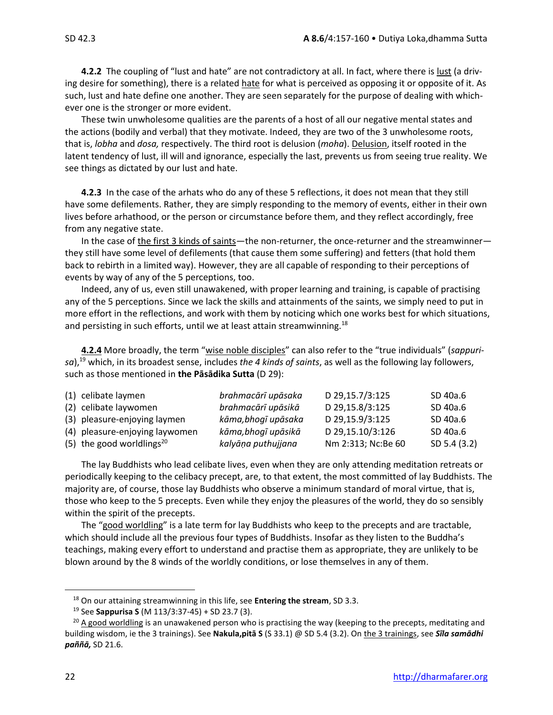**4.2.2** The coupling of "lust and hate" are not contradictory at all. In fact, where there is lust (a driving desire for something), there is a related hate for what is perceived as opposing it or opposite of it. As such, lust and hate define one another. They are seen separately for the purpose of dealing with whichever one is the stronger or more evident.

These twin unwholesome qualities are the parents of a host of all our negative mental states and the actions (bodily and verbal) that they motivate. Indeed, they are two of the 3 unwholesome roots, that is, *lobha* and *dosa,* respectively. The third root is delusion (*moha*). Delusion, itself rooted in the latent tendency of lust, ill will and ignorance, especially the last, prevents us from seeing true reality. We see things as dictated by our lust and hate.

**4.2.3** In the case of the arhats who do any of these 5 reflections, it does not mean that they still have some defilements. Rather, they are simply responding to the memory of events, either in their own lives before arhathood, or the person or circumstance before them, and they reflect accordingly, free from any negative state.

In the case of the first 3 kinds of saints—the non-returner, the once-returner and the streamwinner they still have some level of defilements (that cause them some suffering) and fetters (that hold them back to rebirth in a limited way). However, they are all capable of responding to their perceptions of events by way of any of the 5 perceptions, too.

Indeed, any of us, even still unawakened, with proper learning and training, is capable of practising any of the 5 perceptions. Since we lack the skills and attainments of the saints, we simply need to put in more effort in the reflections, and work with them by noticing which one works best for which situations, and persisting in such efforts, until we at least attain streamwinning.<sup>18</sup>

**4.2.4** More broadly, the term "wise noble disciples" can also refer to the "true individuals" (*sappurisa*),<sup>19</sup> which, in its broadest sense, includes *the 4 kinds of saints*, as well as the following lay followers, such as those mentioned in **the Pāsādika Sutta** (D 29):

| (1) celibate laymen                   | brahmacārī upāsaka  | D 29,15.7/3:125    | SD 40a.6     |
|---------------------------------------|---------------------|--------------------|--------------|
| (2) celibate laywomen                 | brahmacārī upāsikā  | D 29,15.8/3:125    | SD 40a.6     |
| (3) pleasure-enjoying laymen          | kāma, bhogī upāsaka | D 29,15.9/3:125    | SD 40a.6     |
| (4) pleasure-enjoying laywomen        | kāma, bhogī upāsikā | D 29,15.10/3:126   | SD 40a.6     |
| (5) the good worldlings <sup>20</sup> | kalyāņa puthujjana  | Nm 2:313; Nc:Be 60 | SD 5.4 (3.2) |

The lay Buddhists who lead celibate lives, even when they are only attending meditation retreats or periodically keeping to the celibacy precept, are, to that extent, the most committed of lay Buddhists. The majority are, of course, those lay Buddhists who observe a minimum standard of moral virtue, that is, those who keep to the 5 precepts. Even while they enjoy the pleasures of the world, they do so sensibly within the spirit of the precepts.

The "good worldling" is a late term for lay Buddhists who keep to the precepts and are tractable, which should include all the previous four types of Buddhists. Insofar as they listen to the Buddha's teachings, making every effort to understand and practise them as appropriate, they are unlikely to be blown around by the 8 winds of the worldly conditions, or lose themselves in any of them.

<sup>18</sup> On our attaining streamwinning in this life, see **Entering the stream**, SD 3.3.

<sup>19</sup> See **Sappurisa S** (M 113/3:37-45) + SD 23.7 (3).

 $20$  A good worldling is an unawakened person who is practising the way (keeping to the precepts, meditating and building wisdom, ie the 3 trainings). See **Nakula,pitā S** (S 33.1) @ SD 5.4 (3.2). On the 3 trainings, see *Sīla samādhi paññā,* SD 21.6.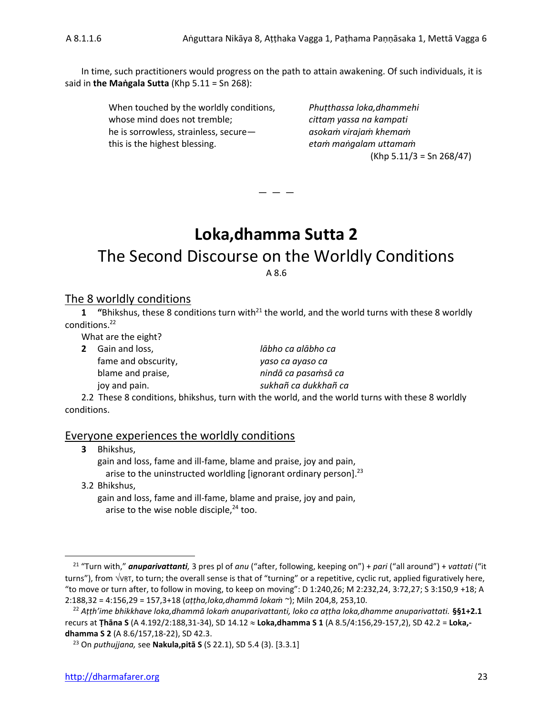In time, such practitioners would progress on the path to attain awakening. Of such individuals, it is said in **the Maṅgala Sutta** (Khp 5.11 = Sn 268):

> When touched by the worldly conditions, *Phuṭthassa loka,dhammehi* whose mind does not tremble; *cittaṃ yassa na kampati* he is sorrowless, strainless, secure— *asokaṁ virajaṁ khemaṁ* this is the highest blessing. *etaṁ maṅgalam uttamaṁ*

 $(Khp 5.11/3 = Sn 268/47)$ 

# **Loka,dhamma Sutta 2**

— — —

# The Second Discourse on the Worldly Conditions A 8.6

### The 8 worldly conditions

**1 "**Bhikshus, these 8 conditions turn with<sup>21</sup> the world, and the world turns with these 8 worldly conditions.<sup>22</sup>

What are the eight?

| <b>2</b> Gain and loss, | lābho ca alābho ca                                                 |
|-------------------------|--------------------------------------------------------------------|
| fame and obscurity,     | yaso ca ayaso ca                                                   |
| blame and praise,       | nindā ca pasamsā ca                                                |
| joy and pain.           | sukhañ ca dukkhañ ca                                               |
|                         | 2.2 Those 8 conditions hhilschus turn with the world and the world |

2.2These 8 conditions, bhikshus, turn with the world, and the world turns with these 8 worldly conditions.

### Everyone experiences the worldly conditions

| <b>3</b> Bhikshus,                                                            |
|-------------------------------------------------------------------------------|
| gain and loss, fame and ill-fame, blame and praise, joy and pain,             |
| arise to the uninstructed worldling [ignorant ordinary person]. <sup>23</sup> |
| 3.2 Bhikshus.                                                                 |

gain and loss, fame and ill-fame, blame and praise, joy and pain, arise to the wise noble disciple, $24$  too.

<sup>21</sup> "Turn with," *anuparivattanti,* 3 pres pl of *anu* ("after, following, keeping on") + *pari* ("all around") + *vattati* ("it turns"), from  $\sqrt{RT}$ , to turn; the overall sense is that of "turning" or a repetitive, cyclic rut, applied figuratively here, "to move or turn after, to follow in moving, to keep on moving": D 1:240,26; M 2:232,24, 3:72,27; S 3:150,9 +18; A 2:188,32 = 4:156,29 = 157,3+18 (*aṭṭha,loka,dhammā lokaṁ ~*); Miln 204,8, 253,10.

<sup>22</sup> *Aṭṭh'ime bhikkhave loka,dhammā lokaṁ anuparivattanti, loko ca aṭṭha loka,dhamme anuparivattati.* **§§1+2.1** recurs at **Ṭhāna S** (A 4.192/2:188,31-34), SD 14.12 **Loka,dhamma S 1** (A 8.5/4:156,29-157,2), SD 42.2 = **Loka, dhamma S 2** (A 8.6/157,18-22), SD 42.3.

<sup>23</sup> On *puthujjana,* see **Nakula,pitā S** (S 22.1), SD 5.4 (3). [3.3.1]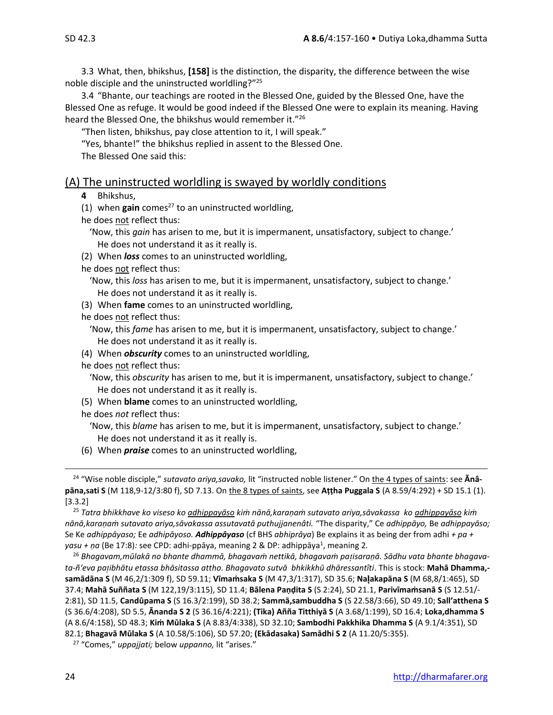3.3 What, then, bhikshus, **[158]** is the distinction, the disparity, the difference between the wise noble disciple and the uninstructed worldling?"<sup>25</sup>

3.4 "Bhante, our teachings are rooted in the Blessed One, guided by the Blessed One, have the Blessed One as refuge. It would be good indeed if the Blessed One were to explain its meaning. Having heard the Blessed One, the bhikshus would remember it."<sup>26</sup>

"Then listen, bhikshus, pay close attention to it, I will speak."

"Yes, bhante!" the bhikshus replied in assent to the Blessed One.

The Blessed One said this:

### (A) The uninstructed worldling is swayed by worldly conditions

- **4** Bhikshus,
- (1) when  $gain$  comes<sup>27</sup> to an uninstructed worldling,
- he does not reflect thus:
	- 'Now, this *gain* has arisen to me, but it is impermanent, unsatisfactory, subject to change.' He does not understand it as it really is.
- (2) When *loss* comes to an uninstructed worldling,
- he does not reflect thus:
	- 'Now, this *loss* has arisen to me, but it is impermanent, unsatisfactory, subject to change.' He does not understand it as it really is.
- (3) When **fame** comes to an uninstructed worldling,
- he does not reflect thus:
- 'Now, this *fame* has arisen to me, but it is impermanent, unsatisfactory, subject to change.' He does not understand it as it really is.
- (4) When *obscurity* comes to an uninstructed worldling,
- he does not reflect thus:
- 'Now, this *obscurity* has arisen to me, but it is impermanent, unsatisfactory, subject to change.' He does not understand it as it really is.
- (5) When **blame** comes to an uninstructed worldling,
- he does *not* reflect thus:
	- 'Now, this *blame* has arisen to me, but it is impermanent, unsatisfactory, subject to change.' He does not understand it as it really is.
- (6) When *praise* comes to an uninstructed worldling,

<sup>25</sup> *Tatra bhikkhave ko viseso ko adhippayāso kiṁ nānā,karaṇaṁ sutavato ariya,sāvakassa ko adhippayāso kiṁ nānā,karaṇaṁ sutavato ariya,sāvakassa assutavatā puthujjanenâti.* "The disparity," Ce *adhippāyo,* Be *adhippayāso;*  Se Ke *adhippāyaso;* Ee *adhipāyoso. Adhippāyaso* (cf BHS *abhiprāya*) Be explains it as being der from adhi *+ pa +*  yasu + ṇa (Be 17:8): see CPD: adhi-ppāya, meaning 2 & DP: adhippāya<sup>1</sup>, meaning 2.

<sup>26</sup> *Bhagavam,mūlakā no bhante dhammā, bhagavaṁ nettikā, bhagavaṁ paisaraṇā. Sādhu vata bhante bhagavata-ñ'eva paibhātu etassa bhāsitassa attho. Bhagavato sutvā bhkikkhū dhāressantîti*. This is stock: **Mahā Dhamma, samādāna S** (M 46,2/1:309 f), SD 59.11; **Vīmaṁsaka S** (M 47,3/1:317), SD 35.6; **Naakapāna S** (M 68,8/1:465), SD 37.4; **Mahā Suññata S** (M 122,19/3:115), SD 11.4; **Bālena Paṇḍita S** (S 2:24), SD 21.1, **Parivīmaṁsanā S** (S 12.51/- 2:81), SD 11.5, **Candûpama S** (S 16.3/2:199), SD 38.2; **Sammā,sambuddha S** (S 22.58/3:66), SD 49.10; **Sall'atthena S** (S 36.6/4:208), SD 5.5, **Ānanda S 2** (S 36.16/4:221); **(Tika) Añña Titthiyā S** (A 3.68/1:199), SD 16.4; **Loka,dhamma S**  (A 8.6/4:158), SD 48.3; **Kiṁ Mūlaka S** (A 8.83/4:338), SD 32.10; **Sambodhi Pakkhika Dhamma S** (A 9.1/4:351), SD 82.1; **Bhagavā Mūlaka S** (A 10.58/5:106), SD 57.20; **(Ekādasaka) Samādhi S 2** (A 11.20/5:355).

<sup>24</sup> "Wise noble disciple," *sutavato ariya,savako,* lit "instructed noble listener." On the 4 types of saints: see **Ānâpāna,sati S** (M 118,9-12/3:80 f), SD 7.13. On the 8 types of saints, see **Aṭṭha Puggala S** (A 8.59/4:292) + SD 15.1 (1). [3.3.2]

<sup>27</sup> "Comes," *uppajjati;* below *uppanno,* lit "arises."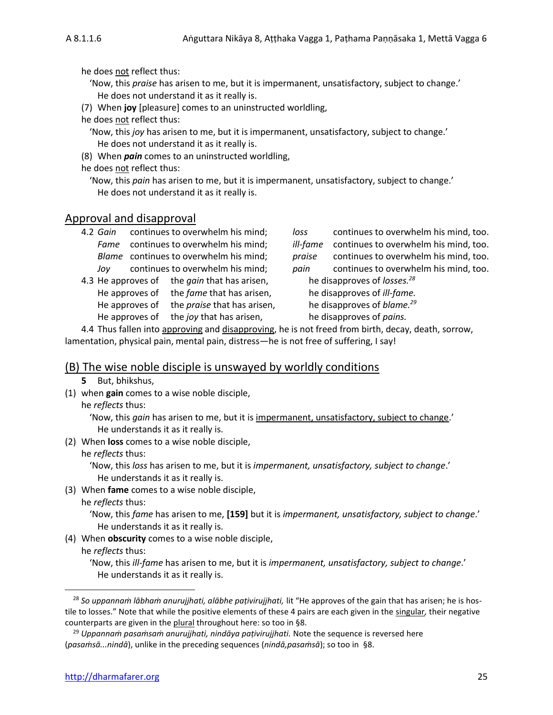he does not reflect thus:

- 'Now, this *praise* has arisen to me, but it is impermanent, unsatisfactory, subject to change.' He does not understand it as it really is.
- (7) When **joy** [pleasure] comes to an uninstructed worldling,
- he does not reflect thus:
	- 'Now, this *joy* has arisen to me, but it is impermanent, unsatisfactory, subject to change.' He does not understand it as it really is.
- (8) When *pain* comes to an uninstructed worldling,
- he does not reflect thus:
	- 'Now, this *pain* has arisen to me, but it is impermanent, unsatisfactory, subject to change.' He does not understand it as it really is.

### Approval and disapproval

| 4.2 Gain |      | continues to overwhelm his mind;            | loss   | continues to overwhelm his mind, too.                 |
|----------|------|---------------------------------------------|--------|-------------------------------------------------------|
|          | Fame | continues to overwhelm his mind;            |        | <i>ill-fame</i> continues to overwhelm his mind, too. |
|          |      | Blame continues to overwhelm his mind;      | praise | continues to overwhelm his mind, too.                 |
|          | Jov  | continues to overwhelm his mind;            | pain   | continues to overwhelm his mind, too.                 |
|          |      | 4.3 He annroves of the gain that has arisen |        | he disannroves of losses $^{28}$                      |

4.3 He approves of the *gain* that has arisen, He approves of the *fame* that has arisen, he disapproves of *ill-fame*. He approves of the *praise* that has arisen, he disapproves of *blame.*<sup>29</sup> He approves of the *joy* that has arisen, he disapproves of *pains*.

*ill-fame* continues to overwhelm his mind, too. *praise* continues to overwhelm his mind, too. *pain* continues to overwhelm his mind, too. he disapproves of *losses*.<sup>28</sup>

4.4 Thus fallen into approving and disapproving, he is not freed from birth, decay, death, sorrow, lamentation, physical pain, mental pain, distress—he is not free of suffering, I say!

# (B) The wise noble disciple is unswayed by worldly conditions

- **5** But, bhikshus,
- (1) when **gain** comes to a wise noble disciple,
	- he *reflects* thus:

'Now, this *gain* has arisen to me, but it is impermanent, unsatisfactory, subject to change.' He understands it as it really is.

- (2) When **loss** comes to a wise noble disciple,
	- he *reflects* thus:

'Now, this *loss* has arisen to me, but it is *impermanent, unsatisfactory, subject to change*.' He understands it as it really is.

(3) When **fame** comes to a wise noble disciple,

he *reflects* thus:

'Now, this *fame* has arisen to me, **[159]** but it is *impermanent, unsatisfactory, subject to change*.' He understands it as it really is.

(4) When **obscurity** comes to a wise noble disciple,

he *reflects* thus:

'Now, this *ill-fame* has arisen to me, but it is *impermanent, unsatisfactory, subject to change*.' He understands it as it really is.

<sup>28</sup> *So uppannaṁ lābhaṁ anurujjhati, alābhe paṭivirujjhati,* lit "He approves of the gain that has arisen; he is hostile to losses." Note that while the positive elements of these 4 pairs are each given in the singular*,* their negative counterparts are given in the plural throughout here: so too in §8.

<sup>29</sup> *Uppannaṁ pasaṁsaṁ anurujjhati, nindāya paṭivirujjhati.* Note the sequence is reversed here (*pasaṁsā...nindā*), unlike in the preceding sequences (*nindā,pasaṁsā*); so too in §8.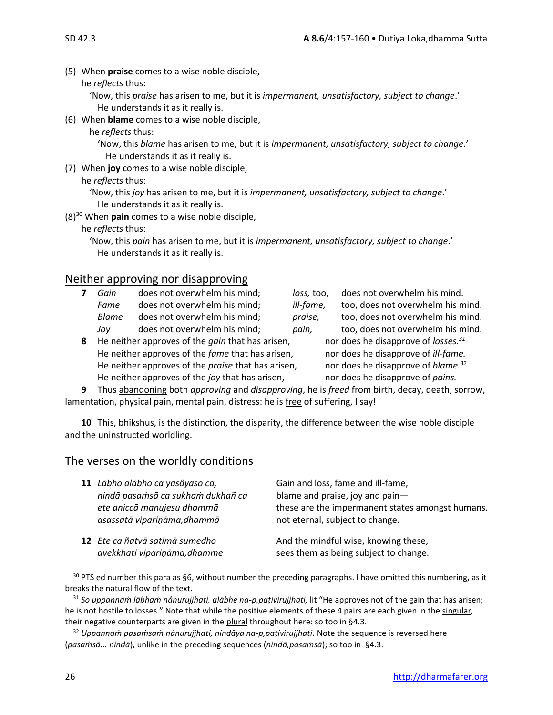(5) When **praise** comes to a wise noble disciple,

he *reflects* thus:

'Now, this *praise* has arisen to me, but it is *impermanent, unsatisfactory, subject to change*.' He understands it as it really is.

- (6) When **blame** comes to a wise noble disciple,
	- he *reflects* thus:

'Now, this *blame* has arisen to me, but it is *impermanent, unsatisfactory, subject to change*.' He understands it as it really is.

(7) When **joy** comes to a wise noble disciple,

### he *reflects* thus:

'Now, this *joy* has arisen to me, but it is *impermanent, unsatisfactory, subject to change*.' He understands it as it really is.

(8)<sup>30</sup> When **pain** comes to a wise noble disciple,

he *reflects* thus:

'Now, this *pain* has arisen to me, but it is *impermanent, unsatisfactory, subject to change*.' He understands it as it really is.

# Neither approving nor disapproving

- **7** *Gain* does not overwhelm his mind; *loss,* too, does not overwhelm his mind. *Fame* does not overwhelm his mind; *ill-fame,* too, does not overwhelm his mind. *Blame* does not overwhelm his mind; *praise,* too, does not overwhelm his mind. *Joy* does not overwhelm his mind; *pain,* too, does not overwhelm his mind.
- **8** He neither approves of the *gain* that has arisen, He neither approves of the *fame* that has arisen, nor does he disapprove of *ill-fame*. He neither approves of the *praise* that has arisen, nor does he disapprove of *blame.<sup>32</sup>* He neither approves of the *joy* that has arisen, nor does he disapprove of *pains*.

**9** Thus abandoning both *approving* and *disapproving*, he is *freed* from birth, decay, death, sorrow, lamentation, physical pain, mental pain, distress: he is free of suffering, I say!

**10** This, bhikshus, is the distinction, the disparity, the difference between the wise noble disciple and the uninstructed worldling.

# The verses on the worldly conditions

| 11 Lābho alābho ca yasâyaso ca,<br>nindā pasamsā ca sukham dukhañ ca<br>ete aniccā manujesu dhammā<br>asassatā vipariņāma, dhammā | Gain and loss, fame and ill-fame,<br>blame and praise, joy and pain-<br>these are the impermanent states amongst humans.<br>not eternal, subject to change. |
|-----------------------------------------------------------------------------------------------------------------------------------|-------------------------------------------------------------------------------------------------------------------------------------------------------------|
| 12 Ete ca ñatvā satimā sumedho<br>avekkhati vipariņāma, dhamme                                                                    | And the mindful wise, knowing these,<br>sees them as being subject to change.                                                                               |

 $30$  PTS ed number this para as §6, without number the preceding paragraphs. I have omitted this numbering, as it breaks the natural flow of the text.

nor does he disapprove of *losses*.<sup>31</sup>

<sup>31</sup> *So uppannaṁ lābhaṁ nânurujjhati, alābhe na-p,paṭivirujjhati,* lit "He approves not of the gain that has arisen; he is not hostile to losses." Note that while the positive elements of these 4 pairs are each given in the singular*,*  their negative counterparts are given in the plural throughout here: so too in §4.3.

<sup>32</sup> *Uppannaṁ pasaṁsaṁ nânurujjhati, nindāya na-p,paṭivirujjhati*. Note the sequence is reversed here (*pasaṁsā... nindā*), unlike in the preceding sequences (*nindā,pasaṁsā*); so too in §4.3.